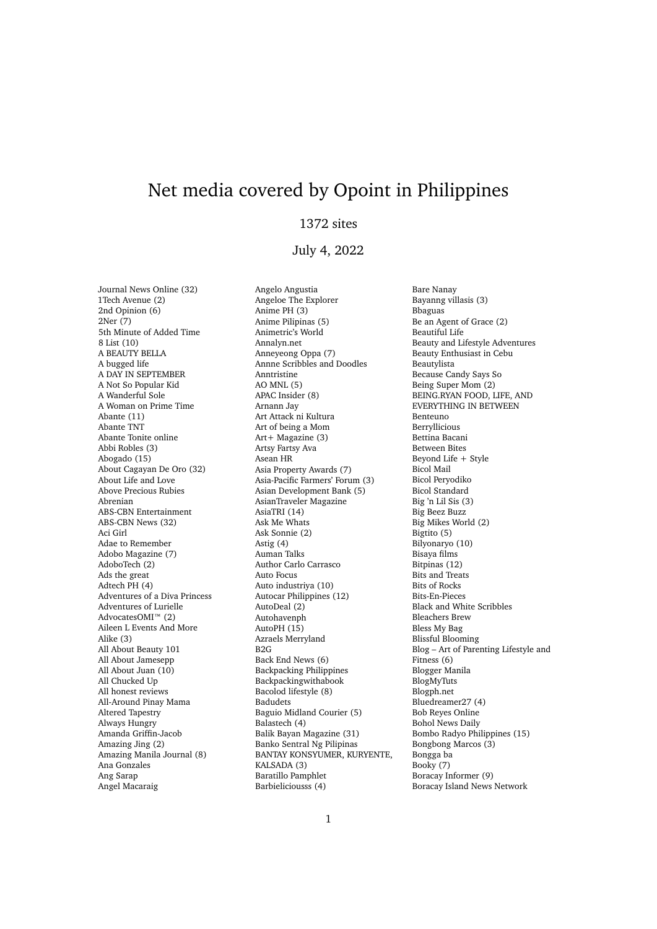## Net media covered by Opoint in Philippines

## 1372 sites

## July 4, 2022

Journal News Online (32) 1Tech Avenue (2) 2nd Opinion (6) 2Ner (7) 5th Minute of Added Time 8 List (10) A BEAUTY BELLA A bugged life A DAY IN SEPTEMBER A Not So Popular Kid A Wanderful Sole A Woman on Prime Time Abante (11) Abante TNT Abante Tonite online Abbi Robles (3) Abogado (15) About Cagayan De Oro (32) About Life and Love Above Precious Rubies Abrenian ABS-CBN Entertainment ABS-CBN News (32) Aci Girl Adae to Remember Adobo Magazine (7) AdoboTech (2) Ads the great Adtech PH (4) Adventures of a Diva Princess Adventures of Lurielle AdvocatesOMI™ (2) Aileen L Events And More Alike (3) All About Beauty 101 All About Jamesepp All About Juan (10) All Chucked Up All honest reviews All-Around Pinay Mama Altered Tapestry Always Hungry Amanda Griffin-Jacob Amazing Jing (2) Amazing Manila Journal (8) Ana Gonzales Ang Sarap Angel Macaraig

Angelo Angustia Angeloe The Explorer Anime PH (3) Anime Pilipinas (5) Animetric's World Annalyn.net Anneyeong Oppa (7) Annne Scribbles and Doodles Anntristine AO MNL (5) APAC Insider (8) Arnann Jay Art Attack ni Kultura Art of being a Mom Art+ Magazine (3) Artsy Fartsy Ava Asean HR Asia Property Awards (7) Asia-Pacific Farmers' Forum (3) Asian Development Bank (5) AsianTraveler Magazine AsiaTRI (14) Ask Me Whats Ask Sonnie (2) Astig (4) Auman Talks Author Carlo Carrasco Auto Focus Auto industriya (10) Autocar Philippines (12) AutoDeal (2) Autohavenph AutoPH (15) Azraels Merryland B2G Back End News (6) Backpacking Philippines Backpackingwithabook Bacolod lifestyle (8) Badudets Baguio Midland Courier (5) Balastech (4) Balik Bayan Magazine (31) Banko Sentral Ng Pilipinas BANTAY KONSYUMER, KURYENTE, KALSADA (3) Baratillo Pamphlet Barbieliciousss (4)

Bare Nanay Bayanng villasis (3) Bbaguas Be an Agent of Grace (2) Beautiful Life Beauty and Lifestyle Adventures Beauty Enthusiast in Cebu Beautylista Because Candy Says So Being Super Mom (2) BEING.RYAN FOOD, LIFE, AND EVERYTHING IN BETWEEN Benteuno Berryllicious Bettina Bacani Between Bites Beyond Life + Style Bicol Mail Bicol Peryodiko Bicol Standard Big 'n Lil Sis (3) Big Beez Buzz Big Mikes World (2) Bigtito (5) Bilyonaryo (10) Bisaya films Bitpinas (12) Bits and Treats Bits of Rocks Bits-En-Pieces Black and White Scribbles Bleachers Brew Bless My Bag Blissful Blooming Blog – Art of Parenting Lifestyle and Fitness (6) Blogger Manila BlogMyTuts Blogph.net Bluedreamer27 (4) Bob Reyes Online Bohol News Daily Bombo Radyo Philippines (15) Bongbong Marcos (3) Bongga ba Booky (7) Boracay Informer (9) Boracay Island News Network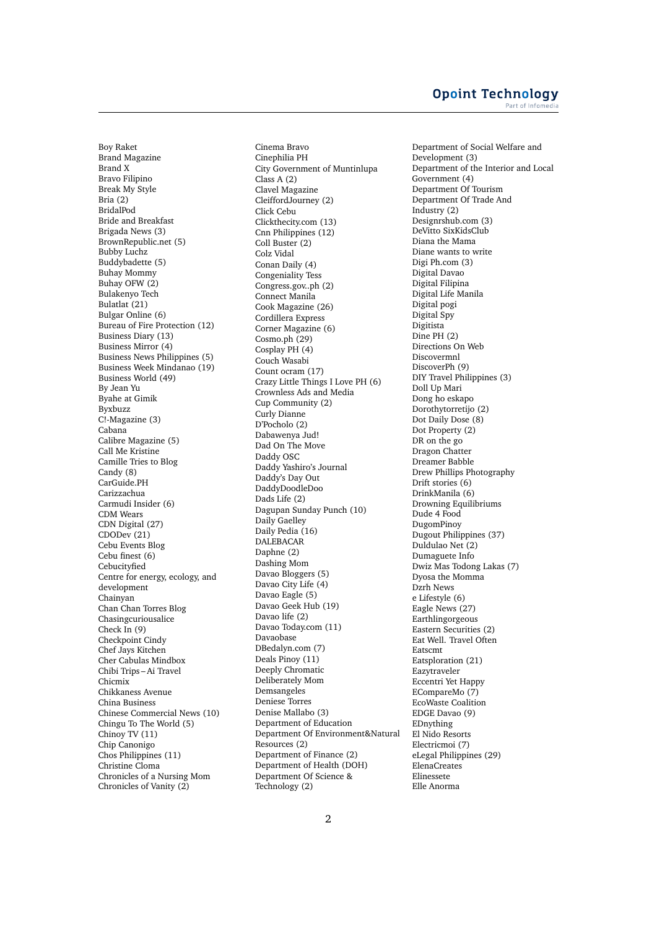## **Opoint Technology** Part of Infomed

Boy Raket Brand Magazine Brand X Bravo Filipino Break My Style Bria (2) BridalPod Bride and Breakfast Brigada News (3) BrownRepublic.net (5) Bubby Luchz Buddybadette (5) Buhay Mommy Buhay OFW (2) Bulakenyo Tech Bulatlat (21) Bulgar Online (6) Bureau of Fire Protection (12) Business Diary (13) Business Mirror (4) Business News Philippines (5) Business Week Mindanao (19) Business World (49) By Jean Yu Byahe at Gimik Byxbuzz C!-Magazine (3) Cabana Calibre Magazine (5) Call Me Kristine Camille Tries to Blog Candy (8) CarGuide.PH Carizzachua Carmudi Insider (6) CDM Wears CDN Digital (27) CDODev (21) Cebu Events Blog Cebu finest (6) Cebucityfied Centre for energy, ecology, and development Chainyan Chan Chan Torres Blog Chasingcuriousalice Check In (9) Checkpoint Cindy Chef Jays Kitchen Cher Cabulas Mindbox Chibi Trips – Ai Travel Chicmix Chikkaness Avenue China Business Chinese Commercial News (10) Chingu To The World (5) Chinoy TV (11) Chip Canonigo Chos Philippines (11) Christine Cloma Chronicles of a Nursing Mom Chronicles of Vanity (2)

Cinema Bravo Cinephilia PH City Government of Muntinlupa Class A (2) Clavel Magazine CleiffordJourney (2) Click Cebu Clickthecity.com (13) Cnn Philippines (12) Coll Buster (2) Colz Vidal Conan Daily (4) Congeniality Tess Congress.gov..ph (2) Connect Manila Cook Magazine (26) Cordillera Express Corner Magazine (6) Cosmo.ph (29) Cosplay PH (4) Couch Wasabi Count ocram (17) Crazy Little Things I Love PH (6) Crownless Ads and Media Cup Community (2) Curly Dianne D'Pocholo (2) Dabawenya Jud! Dad On The Move Daddy OSC Daddy Yashiro's Journal Daddy's Day Out DaddyDoodleDoo Dads Life (2) Dagupan Sunday Punch (10) Daily Gaelley Daily Pedia (16) DALEBACAR Daphne (2) Dashing Mom Davao Bloggers (5) Davao City Life (4) Davao Eagle (5) Davao Geek Hub (19) Davao life (2) Davao Today.com (11) Davaobase DBedalyn.com (7) Deals Pinoy (11) Deeply Chromatic Deliberately Mom Demsangeles Deniese Torres Denise Mallabo (3) Department of Education Department Of Environment&Natural Resources (2) Department of Finance (2) Department of Health (DOH) Department Of Science & Technology (2)

Department of Social Welfare and Development (3) Department of the Interior and Local Government (4) Department Of Tourism Department Of Trade And Industry (2) Designrshub.com (3) DeVitto SixKidsClub Diana the Mama Diane wants to write Digi Ph.com (3) Digital Davao Digital Filipina Digital Life Manila Digital pogi Digital Spy Digitista Dine PH (2) Directions On Web Discovermnl DiscoverPh (9) DIY Travel Philippines (3) Doll Up Mari Dong ho eskapo Dorothytorretijo (2) Dot Daily Dose (8) Dot Property (2) DR on the go Dragon Chatter Dreamer Babble Drew Phillips Photography Drift stories (6) DrinkManila (6) Drowning Equilibriums Dude 4 Food DugomPinoy Dugout Philippines (37) Duldulao Net (2) Dumaguete Info Dwiz Mas Todong Lakas (7) Dyosa the Momma Dzrh News e Lifestyle (6) Eagle News (27) Earthlingorgeous Eastern Securities (2) Eat Well. Travel Often Eatscmt Eatsploration (21) Eazytraveler Eccentri Yet Happy ECompareMo (7) EcoWaste Coalition EDGE Davao (9) EDnything El Nido Resorts Electricmoi (7) eLegal Philippines (29) ElenaCreates Elinessete Elle Anorma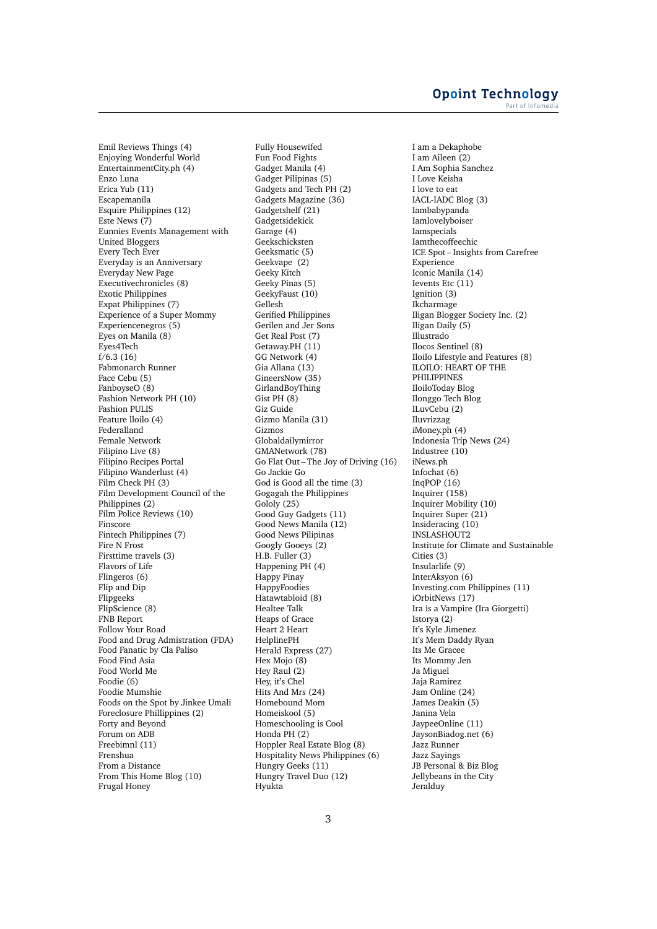Emil Reviews Things (4) Enjoying Wonderful World EntertainmentCity.ph (4) Enzo Luna Erica Yub (11) Escapemanila Esquire Philippines (12) Este News (7) Eunnies Events Management with United Bloggers Every Tech Ever Everyday is an Anniversary Everyday New Page Executivechronicles (8) Exotic Philippines Expat Philippines (7) Experience of a Super Mommy Experiencenegros (5) Eyes on Manila (8) Eyes4Tech  $f/6.3(16)$ Fabmonarch Runner Face Cebu (5) FanboyseO (8) Fashion Network PH (10) Fashion PULIS Feature lloilo (4) Federalland Female Network Filipino Live (8) Filipino Recipes Portal Filipino Wanderlust (4) Film Check PH (3) Film Development Council of the Philippines  $(2)$ Film Police Reviews (10) Finscore Fintech Philippines (7) Fire N Frost Firsttime travels (3) Flavors of Life Flingeros (6) Flip and Dip Flipgeeks FlipScience (8) FNB Report Follow Your Road Food and Drug Admistration (FDA) Food Fanatic by Cla Paliso Food Find Asia Food World Me Foodie (6) Foodie Mumshie Foods on the Spot by Jinkee Umali Foreclosure Phillippines (2) Forty and Beyond Forum on ADB Freebimnl (11) Frenshua From a Distance From This Home Blog (10) Frugal Honey

Fully Housewifed Fun Food Fights Gadget Manila (4) Gadget Pilipinas (5) Gadgets and Tech PH (2) Gadgets Magazine (36) Gadgetshelf (21) Gadgetsidekick Garage (4) Geekschicksten Geeksmatic (5) Geekvape (2) Geeky Kitch Geeky Pinas (5) GeekyFaust (10) Gellesh Gerified Philippines Gerilen and Jer Sons Get Real Post (7) Getaway.PH (11) GG Network (4) Gia Allana (13) GineersNow (35) GirlandBoyThing Gist PH (8) Giz Guide Gizmo Manila (31) Gizmos Globaldailymirror GMANetwork (78) Go Flat Out – The Joy of Driving (16) Go Jackie Go God is Good all the time (3) Gogagah the Philippines Gololy (25) Good Guy Gadgets (11) Good News Manila (12) Good News Pilipinas Googly Gooeys (2) H.B. Fuller (3) Happening PH (4) Happy Pinay HappyFoodies Hatawtabloid (8) Healtee Talk Heaps of Grace Heart 2 Heart HelplinePH Herald Express (27) Hex Mojo (8) Hey Raul (2) Hey, it's Chel Hits And Mrs (24) Homebound Mom Homeiskool (5) Homeschooling is Cool Honda PH (2) Hoppler Real Estate Blog (8) Hospitality News Philippines (6) Hungry Geeks (11) Hungry Travel Duo (12) Hyukta

I am a Dekaphobe I am Aileen (2) I Am Sophia Sanchez I Love Keisha I love to eat IACL-IADC Blog (3) Iambabypanda Iamlovelyboiser Iamspecials Iamthecoffeechic ICE Spot – Insights from Carefree Experience Iconic Manila (14) Ievents Etc (11) Ignition (3) Ikcharmage Iligan Blogger Society Inc. (2) Iligan Daily (5) Illustrado Ilocos Sentinel (8) Iloilo Lifestyle and Features (8) ILOILO: HEART OF THE PHILIPPINES IloiloToday Blog Ilonggo Tech Blog ILuvCebu (2) Iluvrizzag iMoney.ph (4) Indonesia Trip News (24) Industree (10) iNews.ph Infochat (6) InqPOP (16) Inquirer (158) Inquirer Mobility (10) Inquirer Super (21) Insideracing (10) INSLASHOUT2 Institute for Climate and Sustainable Cities (3) Insularlife (9) InterAksyon (6) Investing.com Philippines (11) iOrbitNews (17) Ira is a Vampire (Ira Giorgetti) Istorya (2) It's Kyle Jimenez It's Mem Daddy Ryan Its Me Gracee Its Mommy Jen Ja Miguel Jaja Ramirez Jam Online (24) James Deakin (5) Janina Vela JaypeeOnline (11) JaysonBiadog.net (6) Jazz Runner Jazz Sayings JB Personal & Biz Blog Jellybeans in the City Jeralduy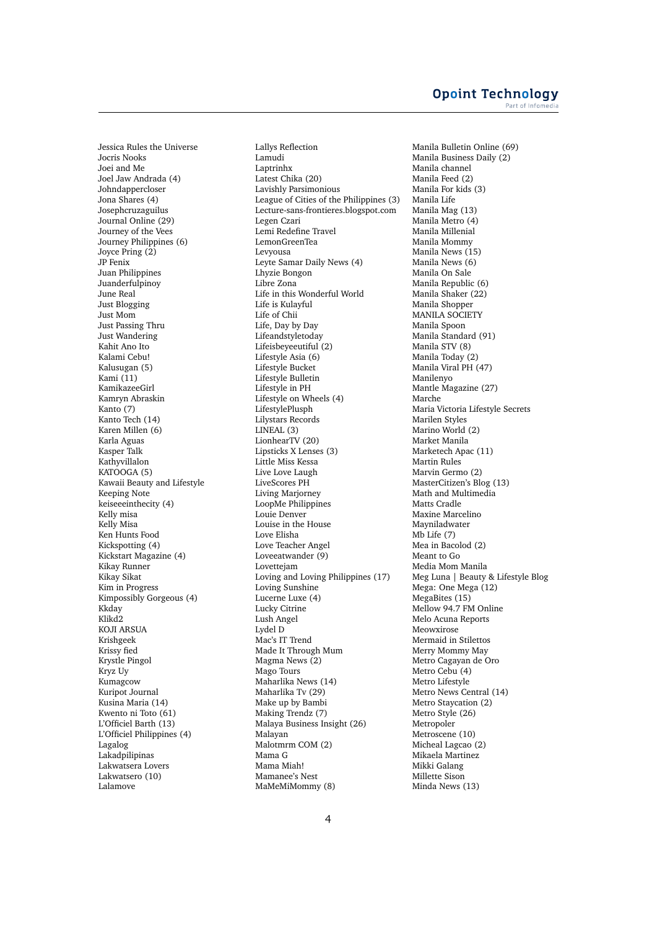Jessica Rules the Universe Jocris Nooks Joei and Me Joel Jaw Andrada (4) Johndappercloser Jona Shares (4) Josephcruzaguilus Journal Online (29) Journey of the Vees Journey Philippines (6) Joyce Pring (2) JP Fenix Juan Philippines Juanderfulpinoy June Real Just Blogging Just Mom Just Passing Thru Just Wandering Kahit Ano Ito Kalami Cebu! Kalusugan (5) Kami (11) KamikazeeGirl Kamryn Abraskin Kanto (7) Kanto Tech (14) Karen Millen (6) Karla Aguas Kasper Talk Kathyvillalon KATOOGA (5) Kawaii Beauty and Lifestyle Keeping Note keiseeeinthecity (4) Kelly misa Kelly Misa Ken Hunts Food Kickspotting (4) Kickstart Magazine (4) Kikay Runner Kikay Sikat Kim in Progress Kimpossibly Gorgeous (4) Kkday Klikd2 KOJI ARSUA Krishgeek Krissy fied Krystle Pingol Kryz Uy Kumagcow Kuripot Journal Kusina Maria (14) Kwento ni Toto (61) L'Officiel Barth (13) L'Officiel Philippines (4) Lagalog Lakadpilipinas Lakwatsera Lovers Lakwatsero (10) Lalamove

Lallys Reflection Lamudi Laptrinhx Latest Chika (20) Lavishly Parsimonious League of Cities of the Philippines (3) Lecture-sans-frontieres.blogspot.com Legen Czari Lemi Redefine Travel LemonGreenTea Levyousa Leyte Samar Daily News (4) Lhyzie Bongon Libre Zona Life in this Wonderful World Life is Kulayful Life of Chii Life, Day by Day Lifeandstyletoday Lifeisbeyeeutiful (2) Lifestyle Asia (6) Lifestyle Bucket Lifestyle Bulletin Lifestyle in PH Lifestyle on Wheels (4) LifestylePlusph Lilystars Records LINEAL (3) LionhearTV (20) Lipsticks X Lenses (3) Little Miss Kessa Live Love Laugh LiveScores PH Living Marjorney LoopMe Philippines Louie Denver Louise in the House Love Elisha Love Teacher Angel Loveeatwander (9) Lovettejam Loving and Loving Philippines (17) Loving Sunshine Lucerne Luxe (4) Lucky Citrine Lush Angel Lydel D Mac's IT Trend Made It Through Mum Magma News (2) Mago Tours Maharlika News (14) Maharlika Tv (29) Make up by Bambi Making Trendz (7) Malaya Business Insight (26) Malayan Malotmrm COM (2) Mama G Mama Miah! Mamanee's Nest MaMeMiMommy (8)

Manila Bulletin Online (69) Manila Business Daily (2) Manila channel Manila Feed (2) Manila For kids (3) Manila Life Manila Mag (13) Manila Metro (4) Manila Millenial Manila Mommy Manila News (15) Manila News (6) Manila On Sale Manila Republic (6) Manila Shaker (22) Manila Shopper MANILA SOCIETY Manila Spoon Manila Standard (91) Manila STV (8) Manila Today (2) Manila Viral PH (47) Manilenyo Mantle Magazine (27) Marche Maria Victoria Lifestyle Secrets Marilen Styles Marino World (2) Market Manila Marketech Apac (11) Martin Rules Marvin Germo (2) MasterCitizen's Blog (13) Math and Multimedia Matts Cradle Maxine Marcelino Mayniladwater Mb Life (7) Mea in Bacolod (2) Meant to Go Media Mom Manila Meg Luna | Beauty & Lifestyle Blog Mega: One Mega (12) MegaBites (15) Mellow 94.7 FM Online Melo Acuna Reports Meowxirose Mermaid in Stilettos Merry Mommy May Metro Cagayan de Oro Metro Cebu (4) Metro Lifestyle Metro News Central (14) Metro Staycation (2) Metro Style (26) Metropoler Metroscene (10) Micheal Lagcao (2) Mikaela Martinez Mikki Galang Millette Sison Minda News (13)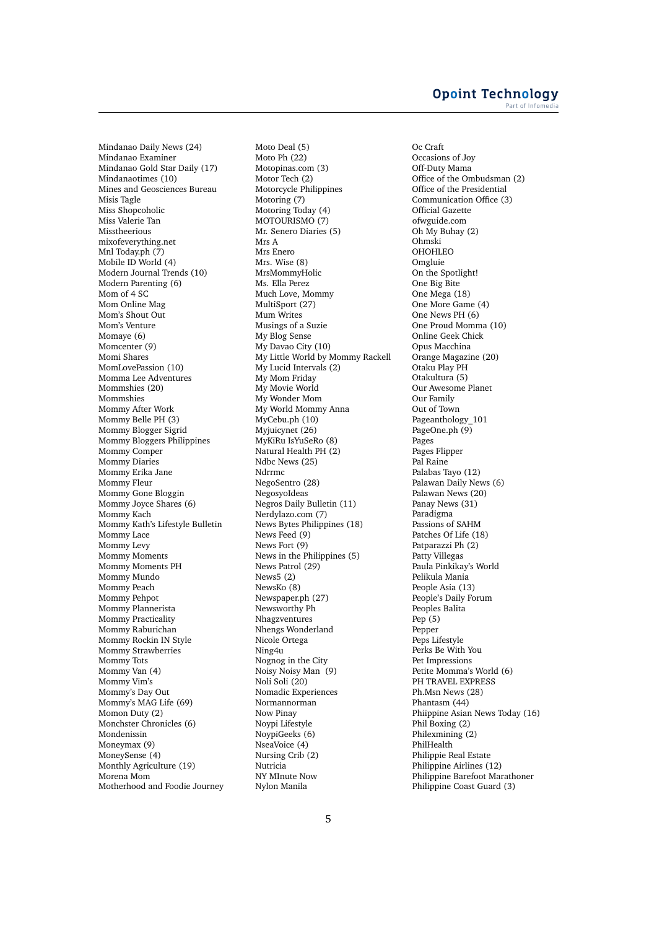Mindanao Daily News (24) Mindanao Examiner Mindanao Gold Star Daily (17) Mindanaotimes (10) Mines and Geosciences Bureau Misis Tagle Miss Shopcoholic Miss Valerie Tan **Misstheerious** mixofeverything.net Mnl Today.ph  $(7)$ Mobile ID World (4) Modern Journal Trends (10) Modern Parenting (6) Mom of 4 SC Mom Online Mag Mom's Shout Out Mom's Venture Momaye (6) Momcenter (9) Momi Shares MomLovePassion (10) Momma Lee Adventures Mommshies (20) Mommshies Mommy After Work Mommy Belle PH (3) Mommy Blogger Sigrid Mommy Bloggers Philippines Mommy Comper Mommy Diaries Mommy Erika Jane Mommy Fleur Mommy Gone Bloggin Mommy Joyce Shares (6) Mommy Kach Mommy Kath's Lifestyle Bulletin Mommy Lace Mommy Levy Mommy Moments Mommy Moments PH Mommy Mundo Mommy Peach Mommy Pehpot Mommy Plannerista Mommy Practicality Mommy Raburichan Mommy Rockin IN Style Mommy Strawberries Mommy Tots Mommy Van (4) Mommy Vim's Mommy's Day Out Mommy's MAG Life (69) Momon Duty (2) Monchster Chronicles (6) Mondenissin Moneymax (9) MoneySense (4) Monthly Agriculture (19) Morena Mom Motherhood and Foodie Journey

Moto Deal (5) Moto Ph (22) Motopinas.com (3) Motor Tech (2) Motorcycle Philippines Motoring (7) Motoring Today (4) MOTOURISMO (7) Mr. Senero Diaries (5) Mrs A Mrs Enero Mrs. Wise (8) MrsMommyHolic Ms. Ella Perez Much Love, Mommy MultiSport (27) Mum Writes Musings of a Suzie My Blog Sense My Davao City (10) My Little World by Mommy Rackell My Lucid Intervals (2) My Mom Friday My Movie World My Wonder Mom My World Mommy Anna MyCebu.ph (10) Myjuicynet (26) MyKiRu IsYuSeRo (8) Natural Health PH (2) Ndbc News (25) Ndrrmc NegoSentro (28) NegosyoIdeas Negros Daily Bulletin (11) Nerdylazo.com (7) News Bytes Philippines (18) News Feed (9) News Fort (9) News in the Philippines (5) News Patrol (29) News5 (2) NewsKo (8) Newspaper.ph (27) Newsworthy Ph Nhagzventures Nhengs Wonderland Nicole Ortega Ning4u Nognog in the City Noisy Noisy Man (9) Noli Soli (20) Nomadic Experiences Normannorman Now Pinay Noypi Lifestyle NoypiGeeks (6) NseaVoice (4) Nursing Crib (2) Nutricia NY MInute Now Nylon Manila

Oc Craft Occasions of Joy Off-Duty Mama Office of the Ombudsman (2) Office of the Presidential Communication Office (3) Official Gazette ofwguide.com Oh My Buhay (2) Ohmski OHOHLEO Omgluie On the Spotlight! One Big Bite One Mega (18) One More Game (4) One News PH (6) One Proud Momma (10) Online Geek Chick Opus Macchina Orange Magazine (20) Otaku Play PH Otakultura (5) Our Awesome Planet Our Family Out of Town Pageanthology\_101 PageOne.ph (9) Pages Pages Flipper Pal Raine Palabas Tayo (12) Palawan Daily News (6) Palawan News (20) Panay News (31) Paradigma Passions of SAHM Patches Of Life (18) Patparazzi Ph (2) Patty Villegas Paula Pinkikay's World Pelikula Mania People Asia (13) People's Daily Forum Peoples Balita Pep (5) Pepper Peps Lifestyle Perks Be With You Pet Impressions Petite Momma's World (6) PH TRAVEL EXPRESS Ph.Msn News (28) Phantasm (44) Phiippine Asian News Today (16) Phil Boxing (2) Philexmining (2) PhilHealth Philippie Real Estate Philippine Airlines (12) Philippine Barefoot Marathoner Philippine Coast Guard (3)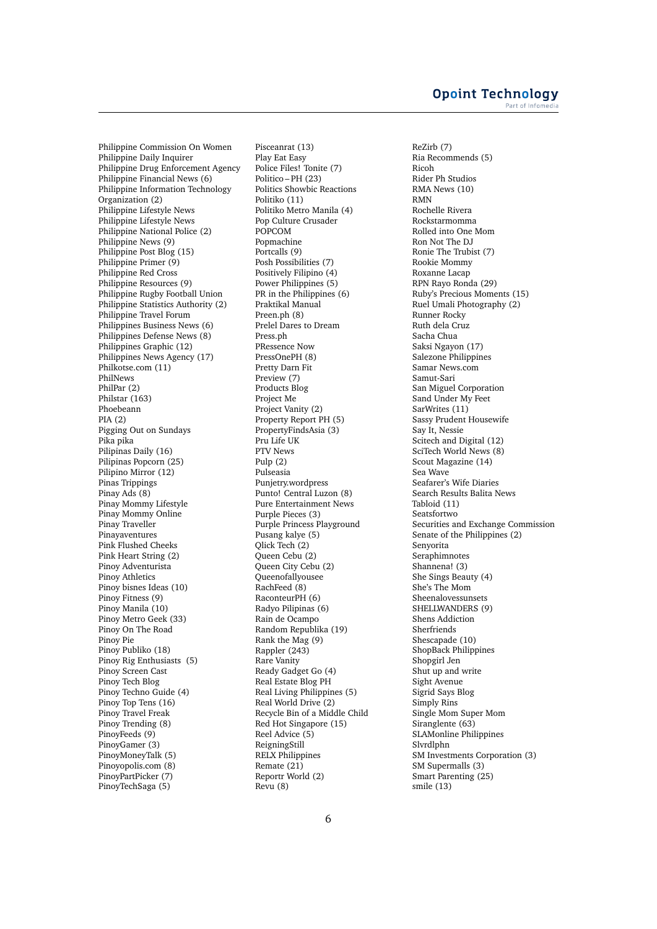Philippine Commission On Women Philippine Daily Inquirer Philippine Drug Enforcement Agency Philippine Financial News (6) Philippine Information Technology Organization (2) Philippine Lifestyle News Philippine Lifestyle News Philippine National Police (2) Philippine News (9) Philippine Post Blog (15) Philippine Primer (9) Philippine Red Cross Philippine Resources (9) Philippine Rugby Football Union Philippine Statistics Authority (2) Philippine Travel Forum Philippines Business News (6) Philippines Defense News (8) Philippines Graphic (12) Philippines News Agency (17) Philkotse.com (11) PhilNews PhilPar (2) Philstar (163) Phoebeann PIA (2) Pigging Out on Sundays Pika pika Pilipinas Daily (16) Pilipinas Popcorn (25) Pilipino Mirror (12) Pinas Trippings Pinay Ads (8) Pinay Mommy Lifestyle Pinay Mommy Online Pinay Traveller Pinayaventures Pink Flushed Cheeks Pink Heart String (2) Pinoy Adventurista Pinoy Athletics Pinoy bisnes Ideas (10) Pinoy Fitness (9) Pinoy Manila (10) Pinoy Metro Geek (33) Pinoy On The Road Pinoy Pie Pinoy Publiko (18) Pinoy Rig Enthusiasts (5) Pinoy Screen Cast Pinoy Tech Blog Pinoy Techno Guide (4) Pinoy Top Tens (16) Pinoy Travel Freak Pinoy Trending (8) PinoyFeeds (9) PinoyGamer (3) PinoyMoneyTalk (5) Pinoyopolis.com (8) PinoyPartPicker (7) PinoyTechSaga (5)

Pisceanrat (13) Play Eat Easy Police Files! Tonite (7) Politico – PH (23) Politics Showbic Reactions Politiko (11) Politiko Metro Manila (4) Pop Culture Crusader POPCOM Popmachine Portcalls (9) Posh Possibilities (7) Positively Filipino (4) Power Philippines (5) PR in the Philippines (6) Praktikal Manual Preen.ph (8) Prelel Dares to Dream Press.ph PRessence Now PressOnePH (8) Pretty Darn Fit Preview (7) Products Blog Project Me Project Vanity (2) Property Report PH (5) PropertyFindsAsia (3) Pru Life UK PTV News Pulp (2) Pulseasia Punjetry.wordpress Punto! Central Luzon (8) Pure Entertainment News Purple Pieces (3) Purple Princess Playground Pusang kalye (5) Qlick Tech (2) Queen Cebu (2) Queen City Cebu (2) Queenofallyousee RachFeed (8) RaconteurPH (6) Radyo Pilipinas (6) Rain de Ocampo Random Republika (19) Rank the Mag (9) Rappler (243) Rare Vanity Ready Gadget Go (4) Real Estate Blog PH Real Living Philippines (5) Real World Drive (2) Recycle Bin of a Middle Child Red Hot Singapore (15) Reel Advice (5) ReigningStill RELX Philippines Remate (21) Reportr World (2) Revu (8)

ReZirb (7) Ria Recommends (5) Ricoh Rider Ph Studios RMA News (10) RMN Rochelle Rivera Rockstarmomma Rolled into One Mom Ron Not The DJ Ronie The Trubist (7) Rookie Mommy Roxanne Lacap RPN Rayo Ronda (29) Ruby's Precious Moments (15) Ruel Umali Photography (2) Runner Rocky Ruth dela Cruz Sacha Chua Saksi Ngayon (17) Salezone Philippines Samar News.com Samut-Sari San Miguel Corporation Sand Under My Feet SarWrites (11) Sassy Prudent Housewife Say It, Nessie Scitech and Digital (12) SciTech World News (8) Scout Magazine (14) Sea Wave Seafarer's Wife Diaries Search Results Balita News Tabloid (11) Seatsfortwo Securities and Exchange Commission Senate of the Philippines (2) Senyorita Seraphimnotes Shannena! (3) She Sings Beauty (4) She's The Mom Sheenalovessunsets SHELLWANDERS (9) Shens Addiction Sherfriends Shescapade (10) ShopBack Philippines Shopgirl Jen Shut up and write Sight Avenue Sigrid Says Blog Simply Rins Single Mom Super Mom Siranglente (63) SLAMonline Philippines Slvrdlphn SM Investments Corporation (3) SM Supermalls (3) Smart Parenting (25) smile (13)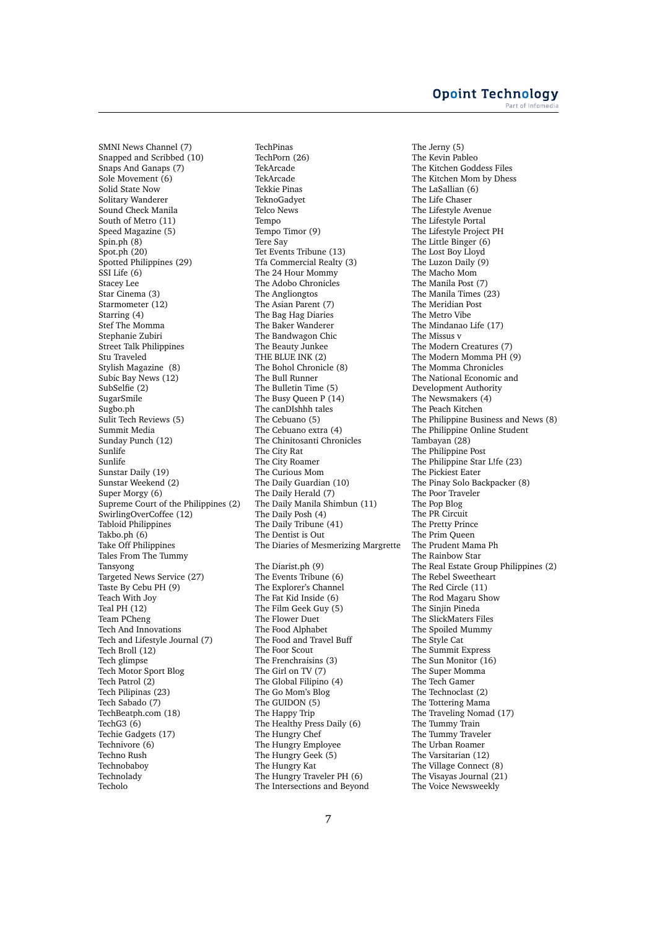SMNI News Channel (7) Snapped and Scribbed (10) Snaps And Ganaps (7) Sole Movement (6) Solid State Now Solitary Wanderer Sound Check Manila South of Metro (11) Speed Magazine (5) Spin.ph (8) Spot.ph (20) Spotted Philippines (29) SSI Life (6) Stacey Lee Star Cinema (3) Starmometer (12) Starring (4) Stef The Momma Stephanie Zubiri Street Talk Philippines Stu Traveled Stylish Magazine (8) Subic Bay News (12) SubSelfie (2) SugarSmile Sugbo.ph Sulit Tech Reviews (5) Summit Media Sunday Punch (12) Sunlife Sunlife Sunstar Daily (19) Sunstar Weekend (2) Super Morgy (6) Supreme Court of the Philippines (2) SwirlingOverCoffee (12) Tabloid Philippines Takbo.ph (6) Take Off Philippines Tales From The Tummy Tansyong Targeted News Service (27) Taste By Cebu PH (9) Teach With Joy Teal PH (12) Team PCheng Tech And Innovations Tech and Lifestyle Journal (7) Tech Broll (12) Tech glimpse Tech Motor Sport Blog Tech Patrol (2) Tech Pilipinas (23) Tech Sabado (7) TechBeatph.com (18) TechG3 (6) Techie Gadgets (17) Technivore (6) Techno Rush Technobaboy Technolady Techolo

TechPinas TechPorn (26) TekArcade TekArcade Tekkie Pinas TeknoGadyet Telco News Tempo Tempo Timor (9) Tere Say Tet Events Tribune (13) Tfa Commercial Realty (3) The 24 Hour Mommy The Adobo Chronicles The Angliongtos The Asian Parent (7) The Bag Hag Diaries The Baker Wanderer The Bandwagon Chic The Beauty Junkee THE BLUE INK (2) The Bohol Chronicle (8) The Bull Runner The Bulletin Time (5) The Busy Queen P (14) The canDIshhh tales The Cebuano (5) The Cebuano extra (4) The Chinitosanti Chronicles The City Rat The City Roamer The Curious Mom The Daily Guardian (10) The Daily Herald (7) The Daily Manila Shimbun (11) The Daily Posh (4) The Daily Tribune (41) The Dentist is Out The Diaries of Mesmerizing Margrette The Diarist.ph (9) The Events Tribune (6) The Explorer's Channel The Fat Kid Inside (6) The Film Geek Guy (5) The Flower Duet The Food Alphabet The Food and Travel Buff The Foor Scout The Frenchraisins (3) The Girl on TV (7) The Global Filipino (4) The Go Mom's Blog The GUIDON (5) The Happy Trip The Healthy Press Daily (6) The Hungry Chef The Hungry Employee The Hungry Geek (5) The Hungry Kat The Hungry Traveler PH (6) The Intersections and Beyond

The Jerny (5) The Kevin Pableo The Kitchen Goddess Files The Kitchen Mom by Dhess The LaSallian (6) The Life Chaser The Lifestyle Avenue The Lifestyle Portal The Lifestyle Project PH The Little Binger (6) The Lost Boy Lloyd The Luzon Daily (9) The Macho Mom The Manila Post (7) The Manila Times (23) The Meridian Post The Metro Vibe The Mindanao Life (17) The Missus v The Modern Creatures (7) The Modern Momma PH (9) The Momma Chronicles The National Economic and Development Authority The Newsmakers (4) The Peach Kitchen The Philippine Business and News (8) The Philippine Online Student Tambayan (28) The Philippine Post The Philippine Star L!fe (23) The Pickiest Eater The Pinay Solo Backpacker (8) The Poor Traveler The Pop Blog The PR Circuit The Pretty Prince The Prim Queen The Prudent Mama Ph The Rainbow Star The Real Estate Group Philippines (2) The Rebel Sweetheart The Red Circle (11) The Rod Magaru Show The Sinjin Pineda The SlickMaters Files The Spoiled Mummy The Style Cat The Summit Express The Sun Monitor (16) The Super Momma The Tech Gamer The Technoclast (2) The Tottering Mama The Traveling Nomad (17) The Tummy Train The Tummy Traveler The Urban Roamer The Varsitarian (12) The Village Connect (8) The Visayas Journal (21) The Voice Newsweekly